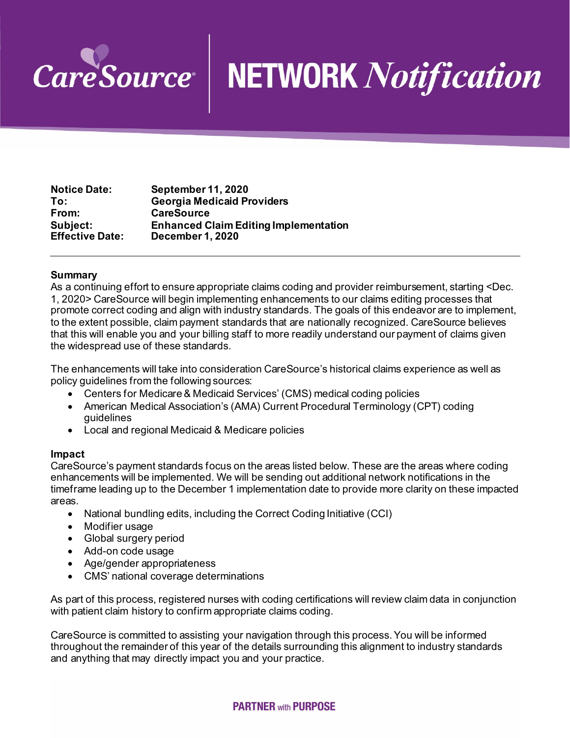

## **NETWORK** Notification

| <b>Notice Date:</b>    | <b>September 11, 2020</b>                    |
|------------------------|----------------------------------------------|
| To:                    | <b>Georgia Medicaid Providers</b>            |
| From:                  | <b>CareSource</b>                            |
| Subject:               | <b>Enhanced Claim Editing Implementation</b> |
| <b>Effective Date:</b> | <b>December 1, 2020</b>                      |

## **Summary**

As a continuing effort to ensure appropriate claims coding and provider reimbursement, starting <Dec. 1, 2020> CareSource will begin implementing enhancements to our claims editing processes that promote correct coding and align with industry standards. The goals of this endeavor are to implement, to the extent possible, claim payment standards that are nationally recognized. CareSource believes that this will enable you and your billing staff to more readily understand our payment of claims given the widespread use of these standards.

The enhancements will take into consideration CareSource's historical claims experience as well as policy guidelines from the following sources:

- Centers for Medicare & Medicaid Services' (CMS) medical coding policies
- American Medical Association's (AMA) Current Procedural Terminology (CPT) coding guidelines
- Local and regional Medicaid & Medicare policies

## **Impact**

CareSource's payment standards focus on the areas listed below. These are the areas where coding enhancements will be implemented. We will be sending out additional network notifications in the timeframe leading up to the December 1 implementation date to provide more clarity on these impacted areas.

- National bundling edits, including the Correct Coding Initiative (CCI)
- Modifier usage
- Global surgery period
- Add-on code usage
- Age/gender appropriateness
- CMS' national coverage determinations

As part of this process, registered nurses with coding certifications will review claim data in conjunction with patient claim history to confirm appropriate claims coding.

CareSource is committed to assisting your navigation through this process. You will be informed throughout the remainder of this year of the details surrounding this alignment to industry standards and anything that may directly impact you and your practice.